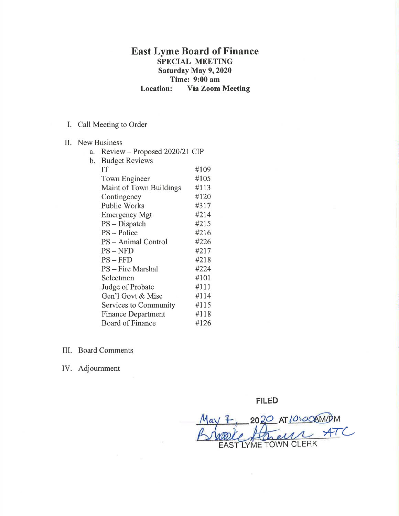## East Lyme Board of Finance SPECIAL MEETING Saturday May 9, 2020 Time: 9:00 am Location: Via Zoom Meeting

## I. Call Meeting to Order

- II. New Business
	- a. Review Proposed 2020/21 CIP<br>b. Budget Reviews

| b. | <b>Budget Reviews</b>     |      |
|----|---------------------------|------|
|    | IT                        | #109 |
|    | Town Engineer             | #105 |
|    | Maint of Town Buildings   | #113 |
|    | Contingency               | #120 |
|    | <b>Public Works</b>       | #317 |
|    | <b>Emergency Mgt</b>      | #214 |
|    | $PS$ – Dispatch           | #215 |
|    | $PS - Police$             | #216 |
|    | PS – Animal Control       | #226 |
|    | $PS - NFD$                | #217 |
|    | $PS - FFD$                | #218 |
|    | PS - Fire Marshal         | #224 |
|    | Selectmen                 | #101 |
|    | Judge of Probate          | #111 |
|    | Gen'l Govt & Misc         | #114 |
|    | Services to Community     | #115 |
|    | <b>Finance Department</b> | #118 |
|    | <b>Board of Finance</b>   | #126 |
|    |                           |      |

- III. Board Comments
- IV. Adjoumment

FILED

20 20 AT 10:00 AMPM  $47C$ hell EAST LYME TOWN CLERK